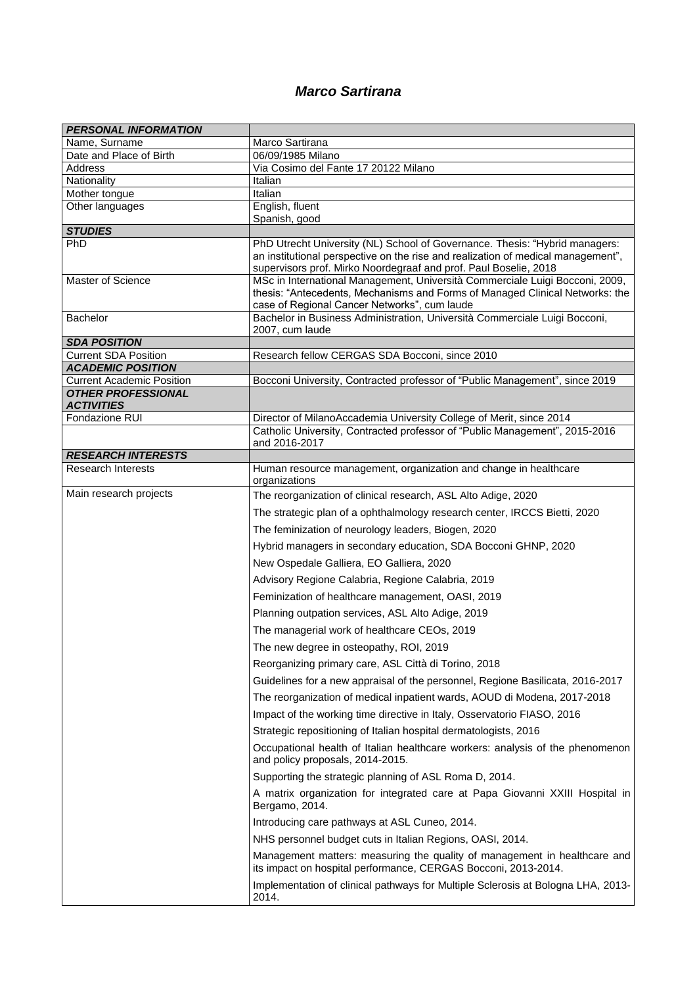## *Marco Sartirana*

| <b>PERSONAL INFORMATION</b>                                   |                                                                                                                                                                                                                                     |
|---------------------------------------------------------------|-------------------------------------------------------------------------------------------------------------------------------------------------------------------------------------------------------------------------------------|
| Name, Surname                                                 | Marco Sartirana                                                                                                                                                                                                                     |
| Date and Place of Birth                                       | 06/09/1985 Milano                                                                                                                                                                                                                   |
| <b>Address</b>                                                | Via Cosimo del Fante 17 20122 Milano                                                                                                                                                                                                |
| Nationality<br>Mother tongue                                  | Italian<br>Italian                                                                                                                                                                                                                  |
| Other languages                                               | English, fluent                                                                                                                                                                                                                     |
|                                                               | Spanish, good                                                                                                                                                                                                                       |
| <b>STUDIES</b>                                                |                                                                                                                                                                                                                                     |
| PhD                                                           | PhD Utrecht University (NL) School of Governance. Thesis: "Hybrid managers:<br>an institutional perspective on the rise and realization of medical management",<br>supervisors prof. Mirko Noordegraaf and prof. Paul Boselie, 2018 |
| Master of Science                                             | MSc in International Management, Università Commerciale Luigi Bocconi, 2009,<br>thesis: "Antecedents, Mechanisms and Forms of Managed Clinical Networks: the<br>case of Regional Cancer Networks", cum laude                        |
| <b>Bachelor</b>                                               | Bachelor in Business Administration, Università Commerciale Luigi Bocconi,<br>2007, cum laude                                                                                                                                       |
| <b>SDA POSITION</b>                                           |                                                                                                                                                                                                                                     |
| <b>Current SDA Position</b>                                   | Research fellow CERGAS SDA Bocconi, since 2010                                                                                                                                                                                      |
| <b>ACADEMIC POSITION</b>                                      |                                                                                                                                                                                                                                     |
| <b>Current Academic Position</b><br><b>OTHER PROFESSIONAL</b> | Bocconi University, Contracted professor of "Public Management", since 2019                                                                                                                                                         |
| <b>ACTIVITIES</b>                                             |                                                                                                                                                                                                                                     |
| Fondazione RUI                                                | Director of MilanoAccademia University College of Merit, since 2014<br>Catholic University, Contracted professor of "Public Management", 2015-2016                                                                                  |
|                                                               | and 2016-2017                                                                                                                                                                                                                       |
| <b>RESEARCH INTERESTS</b>                                     |                                                                                                                                                                                                                                     |
| <b>Research Interests</b>                                     | Human resource management, organization and change in healthcare<br>organizations                                                                                                                                                   |
| Main research projects                                        | The reorganization of clinical research, ASL Alto Adige, 2020                                                                                                                                                                       |
|                                                               | The strategic plan of a ophthalmology research center, IRCCS Bietti, 2020                                                                                                                                                           |
|                                                               | The feminization of neurology leaders, Biogen, 2020                                                                                                                                                                                 |
|                                                               | Hybrid managers in secondary education, SDA Bocconi GHNP, 2020                                                                                                                                                                      |
|                                                               | New Ospedale Galliera, EO Galliera, 2020                                                                                                                                                                                            |
|                                                               |                                                                                                                                                                                                                                     |
|                                                               | Advisory Regione Calabria, Regione Calabria, 2019                                                                                                                                                                                   |
|                                                               | Feminization of healthcare management, OASI, 2019                                                                                                                                                                                   |
|                                                               | Planning outpation services, ASL Alto Adige, 2019                                                                                                                                                                                   |
|                                                               | The managerial work of healthcare CEOs, 2019                                                                                                                                                                                        |
|                                                               | The new degree in osteopathy, ROI, 2019                                                                                                                                                                                             |
|                                                               | Reorganizing primary care, ASL Città di Torino, 2018                                                                                                                                                                                |
|                                                               | Guidelines for a new appraisal of the personnel, Regione Basilicata, 2016-2017                                                                                                                                                      |
|                                                               |                                                                                                                                                                                                                                     |
|                                                               | The reorganization of medical inpatient wards, AOUD di Modena, 2017-2018                                                                                                                                                            |
|                                                               | Impact of the working time directive in Italy, Osservatorio FIASO, 2016                                                                                                                                                             |
|                                                               | Strategic repositioning of Italian hospital dermatologists, 2016                                                                                                                                                                    |
|                                                               | Occupational health of Italian healthcare workers: analysis of the phenomenon<br>and policy proposals, 2014-2015.                                                                                                                   |
|                                                               | Supporting the strategic planning of ASL Roma D, 2014.                                                                                                                                                                              |
|                                                               | A matrix organization for integrated care at Papa Giovanni XXIII Hospital in<br>Bergamo, 2014.                                                                                                                                      |
|                                                               | Introducing care pathways at ASL Cuneo, 2014.                                                                                                                                                                                       |
|                                                               | NHS personnel budget cuts in Italian Regions, OASI, 2014.                                                                                                                                                                           |
|                                                               | Management matters: measuring the quality of management in healthcare and<br>its impact on hospital performance, CERGAS Bocconi, 2013-2014.                                                                                         |
|                                                               | Implementation of clinical pathways for Multiple Sclerosis at Bologna LHA, 2013-                                                                                                                                                    |
|                                                               | 2014.                                                                                                                                                                                                                               |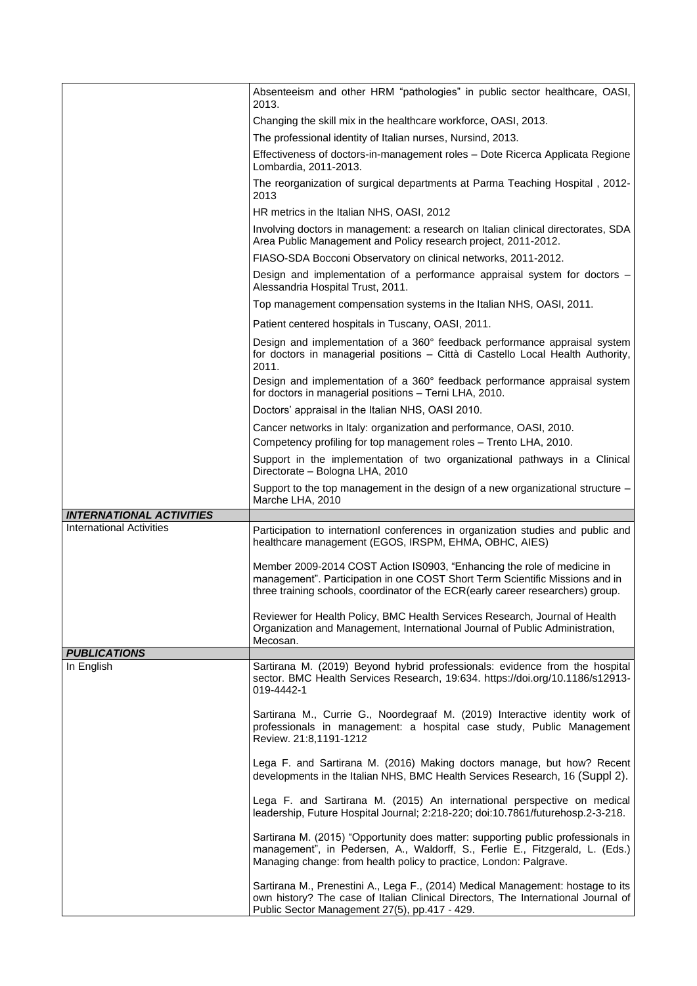|                                 | Absenteeism and other HRM "pathologies" in public sector healthcare, OASI,<br>2013.                                                                                                                                                        |
|---------------------------------|--------------------------------------------------------------------------------------------------------------------------------------------------------------------------------------------------------------------------------------------|
|                                 | Changing the skill mix in the healthcare workforce, OASI, 2013.                                                                                                                                                                            |
|                                 | The professional identity of Italian nurses, Nursind, 2013.                                                                                                                                                                                |
|                                 |                                                                                                                                                                                                                                            |
|                                 | Effectiveness of doctors-in-management roles - Dote Ricerca Applicata Regione<br>Lombardia, 2011-2013.                                                                                                                                     |
|                                 | The reorganization of surgical departments at Parma Teaching Hospital, 2012-<br>2013                                                                                                                                                       |
|                                 | HR metrics in the Italian NHS, OASI, 2012                                                                                                                                                                                                  |
|                                 | Involving doctors in management: a research on Italian clinical directorates, SDA<br>Area Public Management and Policy research project, 2011-2012.                                                                                        |
|                                 | FIASO-SDA Bocconi Observatory on clinical networks, 2011-2012.                                                                                                                                                                             |
|                                 | Design and implementation of a performance appraisal system for doctors -                                                                                                                                                                  |
|                                 | Alessandria Hospital Trust, 2011.                                                                                                                                                                                                          |
|                                 | Top management compensation systems in the Italian NHS, OASI, 2011.                                                                                                                                                                        |
|                                 | Patient centered hospitals in Tuscany, OASI, 2011.                                                                                                                                                                                         |
|                                 | Design and implementation of a 360° feedback performance appraisal system<br>for doctors in managerial positions - Città di Castello Local Health Authority,<br>2011.                                                                      |
|                                 | Design and implementation of a 360° feedback performance appraisal system<br>for doctors in managerial positions - Terni LHA, 2010.                                                                                                        |
|                                 | Doctors' appraisal in the Italian NHS, OASI 2010.                                                                                                                                                                                          |
|                                 | Cancer networks in Italy: organization and performance, OASI, 2010.                                                                                                                                                                        |
|                                 | Competency profiling for top management roles - Trento LHA, 2010.                                                                                                                                                                          |
|                                 | Support in the implementation of two organizational pathways in a Clinical<br>Directorate - Bologna LHA, 2010                                                                                                                              |
|                                 | Support to the top management in the design of a new organizational structure $-$                                                                                                                                                          |
|                                 | Marche LHA, 2010                                                                                                                                                                                                                           |
| <b>INTERNATIONAL ACTIVITIES</b> |                                                                                                                                                                                                                                            |
| <b>International Activities</b> | Participation to internationl conferences in organization studies and public and<br>healthcare management (EGOS, IRSPM, EHMA, OBHC, AIES)                                                                                                  |
|                                 | Member 2009-2014 COST Action IS0903, "Enhancing the role of medicine in<br>management". Participation in one COST Short Term Scientific Missions and in<br>three training schools, coordinator of the ECR(early career researchers) group. |
|                                 | Reviewer for Health Policy, BMC Health Services Research, Journal of Health<br>Organization and Management, International Journal of Public Administration,<br>Mecosan.                                                                    |
| <b>PUBLICATIONS</b>             |                                                                                                                                                                                                                                            |
| In English                      | Sartirana M. (2019) Beyond hybrid professionals: evidence from the hospital<br>sector. BMC Health Services Research, 19:634. https://doi.org/10.1186/s12913-<br>019-4442-1                                                                 |
|                                 | Sartirana M., Currie G., Noordegraaf M. (2019) Interactive identity work of<br>professionals in management: a hospital case study, Public Management<br>Review. 21:8,1191-1212                                                             |
|                                 | Lega F. and Sartirana M. (2016) Making doctors manage, but how? Recent<br>developments in the Italian NHS, BMC Health Services Research, 16 (Suppl 2).                                                                                     |
|                                 | Lega F. and Sartirana M. (2015) An international perspective on medical<br>leadership, Future Hospital Journal; 2:218-220; doi:10.7861/futurehosp.2-3-218.                                                                                 |
|                                 | Sartirana M. (2015) "Opportunity does matter: supporting public professionals in<br>management", in Pedersen, A., Waldorff, S., Ferlie E., Fitzgerald, L. (Eds.)<br>Managing change: from health policy to practice, London: Palgrave.     |
|                                 | Sartirana M., Prenestini A., Lega F., (2014) Medical Management: hostage to its<br>own history? The case of Italian Clinical Directors, The International Journal of<br>Public Sector Management 27(5), pp.417 - 429.                      |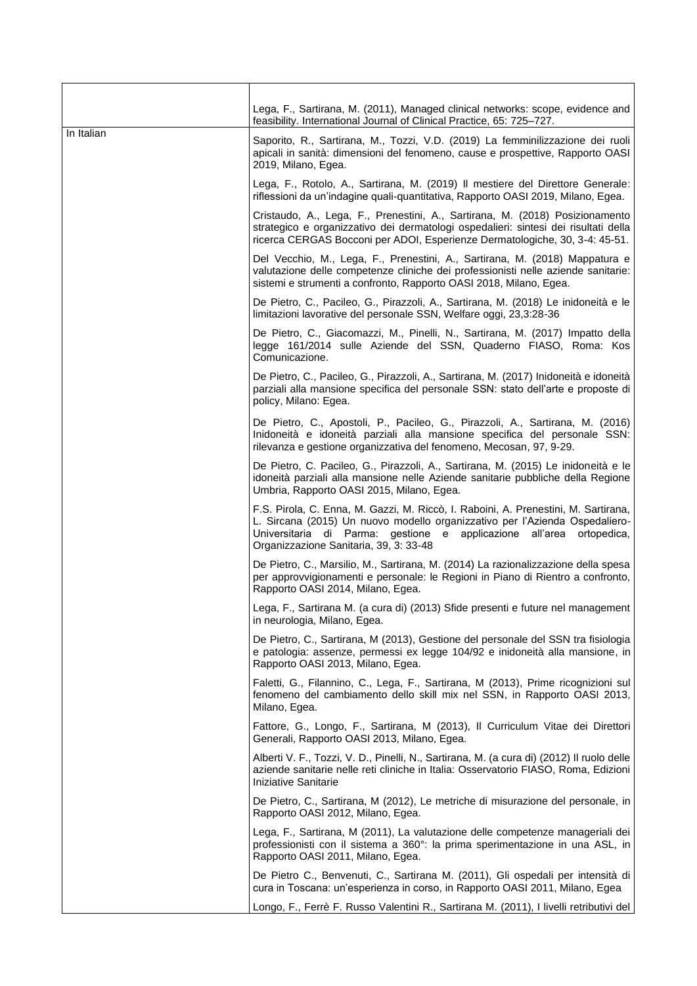|            | Lega, F., Sartirana, M. (2011), Managed clinical networks: scope, evidence and<br>feasibility. International Journal of Clinical Practice, 65: 725-727.                                                                                                                             |
|------------|-------------------------------------------------------------------------------------------------------------------------------------------------------------------------------------------------------------------------------------------------------------------------------------|
| In Italian | Saporito, R., Sartirana, M., Tozzi, V.D. (2019) La femminilizzazione dei ruoli<br>apicali in sanità: dimensioni del fenomeno, cause e prospettive, Rapporto OASI<br>2019, Milano, Egea.                                                                                             |
|            | Lega, F., Rotolo, A., Sartirana, M. (2019) Il mestiere del Direttore Generale:<br>riflessioni da un'indagine quali-quantitativa, Rapporto OASI 2019, Milano, Egea.                                                                                                                  |
|            | Cristaudo, A., Lega, F., Prenestini, A., Sartirana, M. (2018) Posizionamento<br>strategico e organizzativo dei dermatologi ospedalieri: sintesi dei risultati della<br>ricerca CERGAS Bocconi per ADOI, Esperienze Dermatologiche, 30, 3-4: 45-51.                                  |
|            | Del Vecchio, M., Lega, F., Prenestini, A., Sartirana, M. (2018) Mappatura e<br>valutazione delle competenze cliniche dei professionisti nelle aziende sanitarie:<br>sistemi e strumenti a confronto, Rapporto OASI 2018, Milano, Egea.                                              |
|            | De Pietro, C., Pacileo, G., Pirazzoli, A., Sartirana, M. (2018) Le inidoneità e le<br>limitazioni lavorative del personale SSN, Welfare oggi, 23,3:28-36                                                                                                                            |
|            | De Pietro, C., Giacomazzi, M., Pinelli, N., Sartirana, M. (2017) Impatto della<br>legge 161/2014 sulle Aziende del SSN, Quaderno FIASO, Roma: Kos<br>Comunicazione.                                                                                                                 |
|            | De Pietro, C., Pacileo, G., Pirazzoli, A., Sartirana, M. (2017) Inidoneità e idoneità<br>parziali alla mansione specifica del personale SSN: stato dell'arte e proposte di<br>policy, Milano: Egea.                                                                                 |
|            | De Pietro, C., Apostoli, P., Pacileo, G., Pirazzoli, A., Sartirana, M. (2016)<br>Inidoneità e idoneità parziali alla mansione specifica del personale SSN:<br>rilevanza e gestione organizzativa del fenomeno, Mecosan, 97, 9-29.                                                   |
|            | De Pietro, C. Pacileo, G., Pirazzoli, A., Sartirana, M. (2015) Le inidoneità e le<br>idoneità parziali alla mansione nelle Aziende sanitarie pubbliche della Regione<br>Umbria, Rapporto OASI 2015, Milano, Egea.                                                                   |
|            | F.S. Pirola, C. Enna, M. Gazzi, M. Riccò, I. Raboini, A. Prenestini, M. Sartirana,<br>L. Sircana (2015) Un nuovo modello organizzativo per l'Azienda Ospedaliero-<br>Universitaria di Parma: gestione e applicazione all'area ortopedica,<br>Organizzazione Sanitaria, 39, 3: 33-48 |
|            | De Pietro, C., Marsilio, M., Sartirana, M. (2014) La razionalizzazione della spesa<br>per approvvigionamenti e personale: le Regioni in Piano di Rientro a confronto,<br>Rapporto OASI 2014, Milano, Egea.                                                                          |
|            | Lega, F., Sartirana M. (a cura di) (2013) Sfide presenti e future nel management<br>in neurologia, Milano, Egea.                                                                                                                                                                    |
|            | De Pietro, C., Sartirana, M (2013), Gestione del personale del SSN tra fisiologia<br>e patologia: assenze, permessi ex legge 104/92 e inidoneità alla mansione, in<br>Rapporto OASI 2013, Milano, Egea.                                                                             |
|            | Faletti, G., Filannino, C., Lega, F., Sartirana, M (2013), Prime ricognizioni sul<br>fenomeno del cambiamento dello skill mix nel SSN, in Rapporto OASI 2013,<br>Milano, Egea.                                                                                                      |
|            | Fattore, G., Longo, F., Sartirana, M (2013), Il Curriculum Vitae dei Direttori<br>Generali, Rapporto OASI 2013, Milano, Egea.                                                                                                                                                       |
|            | Alberti V. F., Tozzi, V. D., Pinelli, N., Sartirana, M. (a cura di) (2012) Il ruolo delle<br>aziende sanitarie nelle reti cliniche in Italia: Osservatorio FIASO, Roma, Edizioni<br>Iniziative Sanitarie                                                                            |
|            | De Pietro, C., Sartirana, M (2012), Le metriche di misurazione del personale, in<br>Rapporto OASI 2012, Milano, Egea.                                                                                                                                                               |
|            | Lega, F., Sartirana, M (2011), La valutazione delle competenze manageriali dei<br>professionisti con il sistema a 360°: la prima sperimentazione in una ASL, in<br>Rapporto OASI 2011, Milano, Egea.                                                                                |
|            | De Pietro C., Benvenuti, C., Sartirana M. (2011), Gli ospedali per intensità di<br>cura in Toscana: un'esperienza in corso, in Rapporto OASI 2011, Milano, Egea                                                                                                                     |
|            | Longo, F., Ferrè F. Russo Valentini R., Sartirana M. (2011), I livelli retributivi del                                                                                                                                                                                              |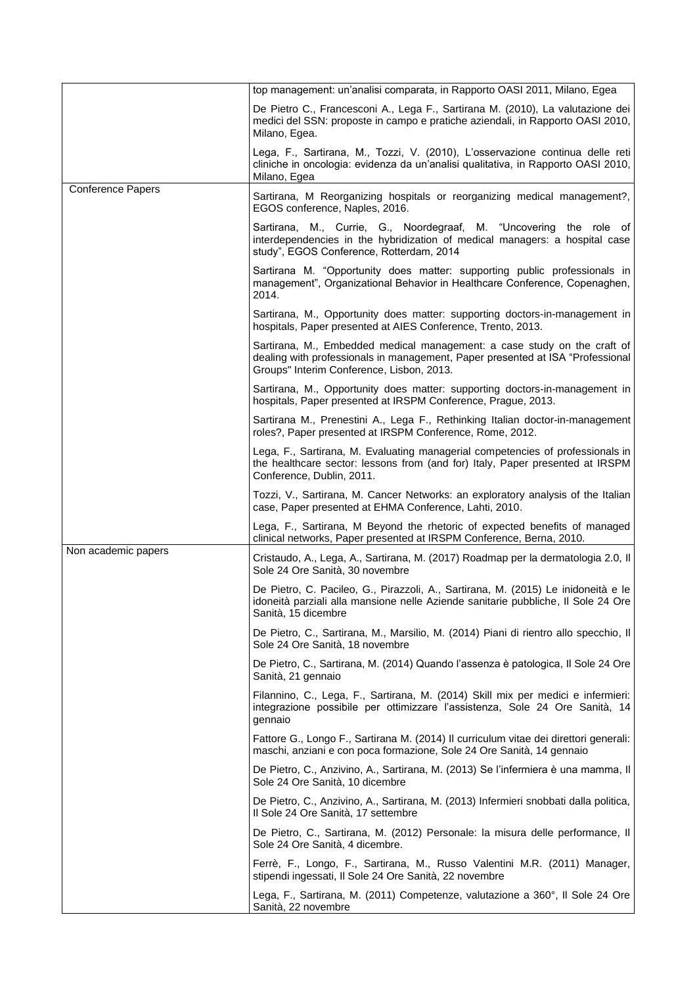|                          | top management: un'analisi comparata, in Rapporto OASI 2011, Milano, Egea                                                                                                                               |
|--------------------------|---------------------------------------------------------------------------------------------------------------------------------------------------------------------------------------------------------|
|                          | De Pietro C., Francesconi A., Lega F., Sartirana M. (2010), La valutazione dei<br>medici del SSN: proposte in campo e pratiche aziendali, in Rapporto OASI 2010,<br>Milano, Egea.                       |
|                          | Lega, F., Sartirana, M., Tozzi, V. (2010), L'osservazione continua delle reti<br>cliniche in oncologia: evidenza da un'analisi qualitativa, in Rapporto OASI 2010,<br>Milano, Egea                      |
| <b>Conference Papers</b> | Sartirana, M Reorganizing hospitals or reorganizing medical management?,<br>EGOS conference, Naples, 2016.                                                                                              |
|                          | Sartirana, M., Currie, G., Noordegraaf, M. "Uncovering the role of<br>interdependencies in the hybridization of medical managers: a hospital case<br>study", EGOS Conference, Rotterdam, 2014           |
|                          | Sartirana M. "Opportunity does matter: supporting public professionals in<br>management", Organizational Behavior in Healthcare Conference, Copenaghen,<br>2014.                                        |
|                          | Sartirana, M., Opportunity does matter: supporting doctors-in-management in<br>hospitals, Paper presented at AIES Conference, Trento, 2013.                                                             |
|                          | Sartirana, M., Embedded medical management: a case study on the craft of<br>dealing with professionals in management, Paper presented at ISA "Professional<br>Groups" Interim Conference, Lisbon, 2013. |
|                          | Sartirana, M., Opportunity does matter: supporting doctors-in-management in<br>hospitals, Paper presented at IRSPM Conference, Prague, 2013.                                                            |
|                          | Sartirana M., Prenestini A., Lega F., Rethinking Italian doctor-in-management<br>roles?, Paper presented at IRSPM Conference, Rome, 2012.                                                               |
|                          | Lega, F., Sartirana, M. Evaluating managerial competencies of professionals in<br>the healthcare sector: lessons from (and for) Italy, Paper presented at IRSPM<br>Conference, Dublin, 2011.            |
|                          | Tozzi, V., Sartirana, M. Cancer Networks: an exploratory analysis of the Italian<br>case, Paper presented at EHMA Conference, Lahti, 2010.                                                              |
|                          | Lega, F., Sartirana, M Beyond the rhetoric of expected benefits of managed<br>clinical networks, Paper presented at IRSPM Conference, Berna, 2010.                                                      |
| Non academic papers      | Cristaudo, A., Lega, A., Sartirana, M. (2017) Roadmap per la dermatologia 2.0, Il<br>Sole 24 Ore Sanità, 30 novembre                                                                                    |
|                          | De Pietro, C. Pacileo, G., Pirazzoli, A., Sartirana, M. (2015) Le inidoneità e le<br>idoneità parziali alla mansione nelle Aziende sanitarie pubbliche, Il Sole 24 Ore<br>Sanità, 15 dicembre           |
|                          | De Pietro, C., Sartirana, M., Marsilio, M. (2014) Piani di rientro allo specchio, Il<br>Sole 24 Ore Sanità, 18 novembre                                                                                 |
|                          | De Pietro, C., Sartirana, M. (2014) Quando l'assenza è patologica, Il Sole 24 Ore<br>Sanità, 21 gennaio                                                                                                 |
|                          | Filannino, C., Lega, F., Sartirana, M. (2014) Skill mix per medici e infermieri:<br>integrazione possibile per ottimizzare l'assistenza, Sole 24 Ore Sanità, 14<br>gennaio                              |
|                          | Fattore G., Longo F., Sartirana M. (2014) Il curriculum vitae dei direttori generali:<br>maschi, anziani e con poca formazione, Sole 24 Ore Sanità, 14 gennaio                                          |
|                          | De Pietro, C., Anzivino, A., Sartirana, M. (2013) Se l'infermiera è una mamma, Il<br>Sole 24 Ore Sanità, 10 dicembre                                                                                    |
|                          | De Pietro, C., Anzivino, A., Sartirana, M. (2013) Infermieri snobbati dalla politica,<br>Il Sole 24 Ore Sanità, 17 settembre                                                                            |
|                          | De Pietro, C., Sartirana, M. (2012) Personale: la misura delle performance, Il<br>Sole 24 Ore Sanità, 4 dicembre.                                                                                       |
|                          | Ferrè, F., Longo, F., Sartirana, M., Russo Valentini M.R. (2011) Manager,<br>stipendi ingessati, Il Sole 24 Ore Sanità, 22 novembre                                                                     |
|                          | Lega, F., Sartirana, M. (2011) Competenze, valutazione a 360°, Il Sole 24 Ore<br>Sanità, 22 novembre                                                                                                    |